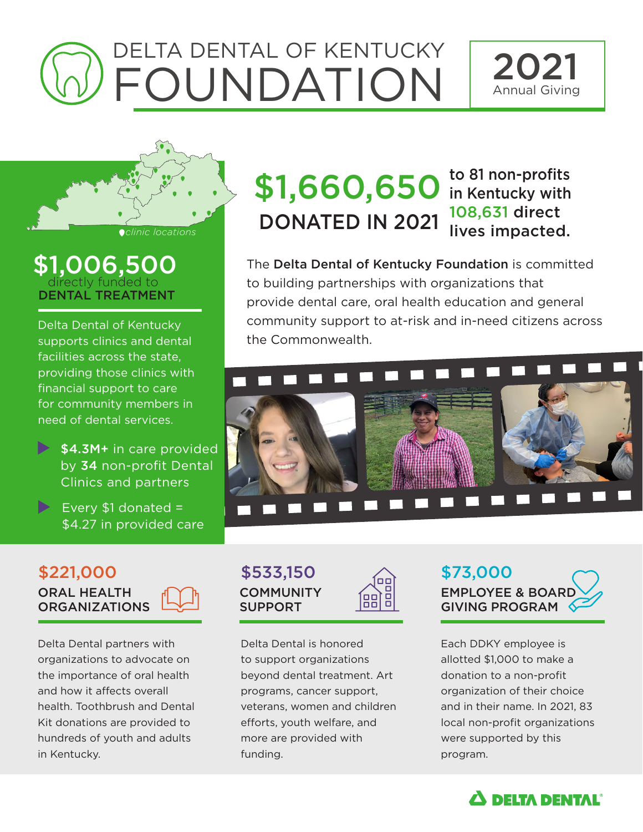# DELTA DENTAL OF KENTUCKY FOUNDATION





DENTAL TREATMENT \$1,006,500 directly funded to

Delta Dental of Kentucky supports clinics and dental facilities across the state, providing those clinics with financial support to care for community members in need of dental services.

- $\blacktriangleright$  \$4.3M+ in care provided by 34 non-profit Dental Clinics and partners
- Every \$1 donated = \$4.27 in provided care

## \$1,660,650 to 81 non-profits **Colinic locations** DONATED IN 2021

## 108,631 direct lives impacted.

The Delta Dental of Kentucky Foundation is committed to building partnerships with organizations that provide dental care, oral health education and general community support to at-risk and in-need citizens across the Commonwealth.



#### ORAL HEALTH **ORGANIZATIONS**  $$221,000$   $$533,150$   $\rightarrow$  \$73,000

Delta Dental partners with organizations to advocate on the importance of oral health and how it affects overall health. Toothbrush and Dental Kit donations are provided to hundreds of youth and adults in Kentucky.



88

Delta Dental is honored to support organizations beyond dental treatment. Art programs, cancer support, veterans, women and children efforts, youth welfare, and more are provided with funding.

**EMPLOYEE & BOARD** GIVING PROGRAM

Each DDKY employee is allotted \$1,000 to make a donation to a non-profit organization of their choice and in their name. In 2021, 83 local non-profit organizations were supported by this program.